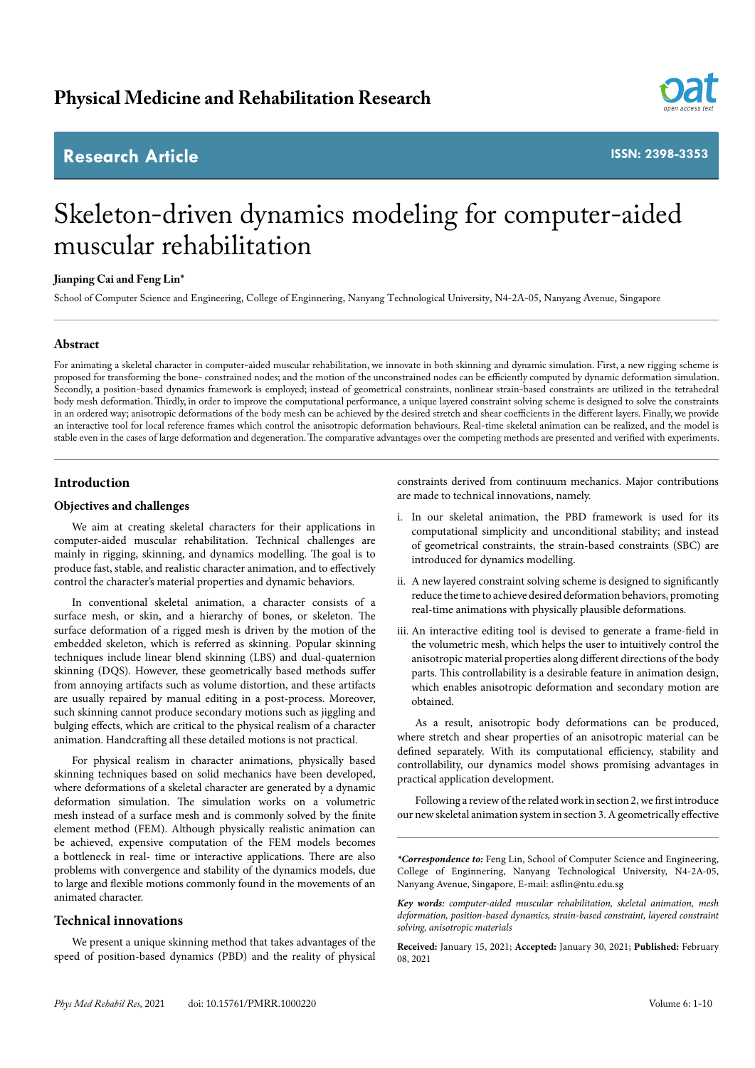## **Research Article**



**ISSN: 2398-3353**

# Skeleton-driven dynamics modeling for computer-aided muscular rehabilitation

## **Jianping Cai and Feng Lin\***

School of Computer Science and Engineering, College of Enginnering, Nanyang Technological University, N4-2A-05, Nanyang Avenue, Singapore

## **Abstract**

For animating a skeletal character in computer-aided muscular rehabilitation, we innovate in both skinning and dynamic simulation. First, a new rigging scheme is proposed for transforming the bone- constrained nodes; and the motion of the unconstrained nodes can be efficiently computed by dynamic deformation simulation. Secondly, a position-based dynamics framework is employed; instead of geometrical constraints, nonlinear strain-based constraints are utilized in the tetrahedral body mesh deformation. Thirdly, in order to improve the computational performance, a unique layered constraint solving scheme is designed to solve the constraints in an ordered way; anisotropic deformations of the body mesh can be achieved by the desired stretch and shear coefficients in the different layers. Finally, we provide an interactive tool for local reference frames which control the anisotropic deformation behaviours. Real-time skeletal animation can be realized, and the model is stable even in the cases of large deformation and degeneration. The comparative advantages over the competing methods are presented and verified with experiments.

## **Introduction**

## **Objectives and challenges**

We aim at creating skeletal characters for their applications in computer-aided muscular rehabilitation. Technical challenges are mainly in rigging, skinning, and dynamics modelling. The goal is to produce fast, stable, and realistic character animation, and to effectively control the character's material properties and dynamic behaviors.

In conventional skeletal animation, a character consists of a surface mesh, or skin, and a hierarchy of bones, or skeleton. The surface deformation of a rigged mesh is driven by the motion of the embedded skeleton, which is referred as skinning. Popular skinning techniques include linear blend skinning (LBS) and dual-quaternion skinning (DQS). However, these geometrically based methods suffer from annoying artifacts such as volume distortion, and these artifacts are usually repaired by manual editing in a post-process. Moreover, such skinning cannot produce secondary motions such as jiggling and bulging effects, which are critical to the physical realism of a character animation. Handcrafting all these detailed motions is not practical.

For physical realism in character animations, physically based skinning techniques based on solid mechanics have been developed, where deformations of a skeletal character are generated by a dynamic deformation simulation. The simulation works on a volumetric mesh instead of a surface mesh and is commonly solved by the finite element method (FEM). Although physically realistic animation can be achieved, expensive computation of the FEM models becomes a bottleneck in real- time or interactive applications. There are also problems with convergence and stability of the dynamics models, due to large and flexible motions commonly found in the movements of an animated character.

## **Technical innovations**

We present a unique skinning method that takes advantages of the speed of position-based dynamics (PBD) and the reality of physical constraints derived from continuum mechanics. Major contributions are made to technical innovations, namely.

- i. In our skeletal animation, the PBD framework is used for its computational simplicity and unconditional stability; and instead of geometrical constraints, the strain-based constraints (SBC) are introduced for dynamics modelling.
- ii. A new layered constraint solving scheme is designed to significantly reduce the time to achieve desired deformation behaviors, promoting real-time animations with physically plausible deformations.
- iii. An interactive editing tool is devised to generate a frame-field in the volumetric mesh, which helps the user to intuitively control the anisotropic material properties along different directions of the body parts. This controllability is a desirable feature in animation design, which enables anisotropic deformation and secondary motion are obtained.

As a result, anisotropic body deformations can be produced, where stretch and shear properties of an anisotropic material can be defined separately. With its computational efficiency, stability and controllability, our dynamics model shows promising advantages in practical application development.

Following a review of the related work in section 2, we first introduce our new skeletal animation system in section 3. A geometrically effective

*\*Correspondence to:* Feng Lin, School of Computer Science and Engineering, College of Enginnering, Nanyang Technological University, N4-2A-05, Nanyang Avenue, Singapore, E-mail: asflin@ntu.edu.sg

*Key words: computer-aided muscular rehabilitation, skeletal animation, mesh deformation, position-based dynamics, strain-based constraint, layered constraint solving, anisotropic materials*

**Received:** January 15, 2021; **Accepted:** January 30, 2021; **Published:** February 08, 2021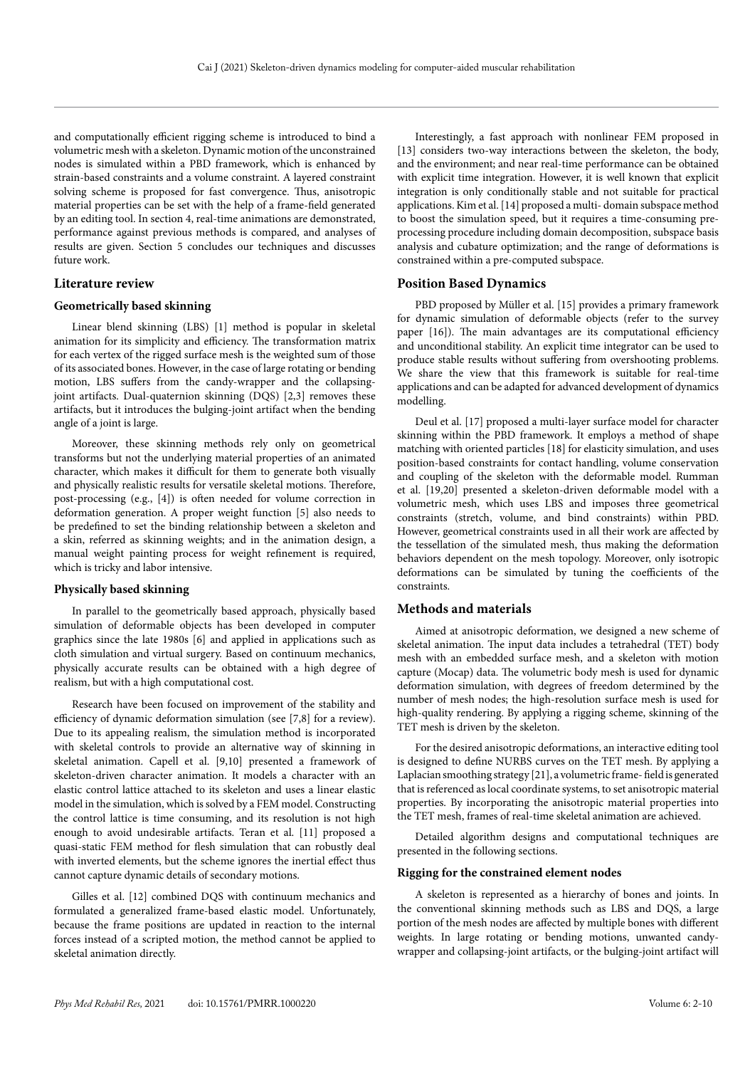and computationally efficient rigging scheme is introduced to bind a volumetric mesh with a skeleton. Dynamic motion of the unconstrained nodes is simulated within a PBD framework, which is enhanced by strain-based constraints and a volume constraint. A layered constraint solving scheme is proposed for fast convergence. Thus, anisotropic material properties can be set with the help of a frame-field generated by an editing tool. In section 4, real-time animations are demonstrated, performance against previous methods is compared, and analyses of results are given. Section 5 concludes our techniques and discusses future work.

## **Literature review**

## **Geometrically based skinning**

Linear blend skinning (LBS) [1] method is popular in skeletal animation for its simplicity and efficiency. The transformation matrix for each vertex of the rigged surface mesh is the weighted sum of those of its associated bones. However, in the case of large rotating or bending motion, LBS suffers from the candy-wrapper and the collapsingjoint artifacts. Dual-quaternion skinning (DQS) [2,3] removes these artifacts, but it introduces the bulging-joint artifact when the bending angle of a joint is large.

Moreover, these skinning methods rely only on geometrical transforms but not the underlying material properties of an animated character, which makes it difficult for them to generate both visually and physically realistic results for versatile skeletal motions. Therefore, post-processing (e.g., [4]) is often needed for volume correction in deformation generation. A proper weight function [5] also needs to be predefined to set the binding relationship between a skeleton and a skin, referred as skinning weights; and in the animation design, a manual weight painting process for weight refinement is required, which is tricky and labor intensive.

## **Physically based skinning**

In parallel to the geometrically based approach, physically based simulation of deformable objects has been developed in computer graphics since the late 1980s [6] and applied in applications such as cloth simulation and virtual surgery. Based on continuum mechanics, physically accurate results can be obtained with a high degree of realism, but with a high computational cost.

Research have been focused on improvement of the stability and efficiency of dynamic deformation simulation (see [7,8] for a review). Due to its appealing realism, the simulation method is incorporated with skeletal controls to provide an alternative way of skinning in skeletal animation. Capell et al. [9,10] presented a framework of skeleton-driven character animation. It models a character with an elastic control lattice attached to its skeleton and uses a linear elastic model in the simulation, which is solved by a FEM model. Constructing the control lattice is time consuming, and its resolution is not high enough to avoid undesirable artifacts. Teran et al. [11] proposed a quasi-static FEM method for flesh simulation that can robustly deal with inverted elements, but the scheme ignores the inertial effect thus cannot capture dynamic details of secondary motions.

Gilles et al. [12] combined DQS with continuum mechanics and formulated a generalized frame-based elastic model. Unfortunately, because the frame positions are updated in reaction to the internal forces instead of a scripted motion, the method cannot be applied to skeletal animation directly.

Interestingly, a fast approach with nonlinear FEM proposed in [13] considers two-way interactions between the skeleton, the body, and the environment; and near real-time performance can be obtained with explicit time integration. However, it is well known that explicit integration is only conditionally stable and not suitable for practical applications. Kim et al. [14] proposed a multi- domain subspace method to boost the simulation speed, but it requires a time-consuming preprocessing procedure including domain decomposition, subspace basis analysis and cubature optimization; and the range of deformations is constrained within a pre-computed subspace.

#### **Position Based Dynamics**

PBD proposed by Müller et al. [15] provides a primary framework for dynamic simulation of deformable objects (refer to the survey paper [16]). The main advantages are its computational efficiency and unconditional stability. An explicit time integrator can be used to produce stable results without suffering from overshooting problems. We share the view that this framework is suitable for real-time applications and can be adapted for advanced development of dynamics modelling.

Deul et al. [17] proposed a multi-layer surface model for character skinning within the PBD framework. It employs a method of shape matching with oriented particles [18] for elasticity simulation, and uses position-based constraints for contact handling, volume conservation and coupling of the skeleton with the deformable model. Rumman et al. [19,20] presented a skeleton-driven deformable model with a volumetric mesh, which uses LBS and imposes three geometrical constraints (stretch, volume, and bind constraints) within PBD. However, geometrical constraints used in all their work are affected by the tessellation of the simulated mesh, thus making the deformation behaviors dependent on the mesh topology. Moreover, only isotropic deformations can be simulated by tuning the coefficients of the constraints.

## **Methods and materials**

Aimed at anisotropic deformation, we designed a new scheme of skeletal animation. The input data includes a tetrahedral (TET) body mesh with an embedded surface mesh, and a skeleton with motion capture (Mocap) data. The volumetric body mesh is used for dynamic deformation simulation, with degrees of freedom determined by the number of mesh nodes; the high-resolution surface mesh is used for high-quality rendering. By applying a rigging scheme, skinning of the TET mesh is driven by the skeleton.

For the desired anisotropic deformations, an interactive editing tool is designed to define NURBS curves on the TET mesh. By applying a Laplacian smoothing strategy [21], a volumetric frame- field is generated that is referenced as local coordinate systems, to set anisotropic material properties. By incorporating the anisotropic material properties into the TET mesh, frames of real-time skeletal animation are achieved.

Detailed algorithm designs and computational techniques are presented in the following sections.

#### **Rigging for the constrained element nodes**

A skeleton is represented as a hierarchy of bones and joints. In the conventional skinning methods such as LBS and DQS, a large portion of the mesh nodes are affected by multiple bones with different weights. In large rotating or bending motions, unwanted candywrapper and collapsing-joint artifacts, or the bulging-joint artifact will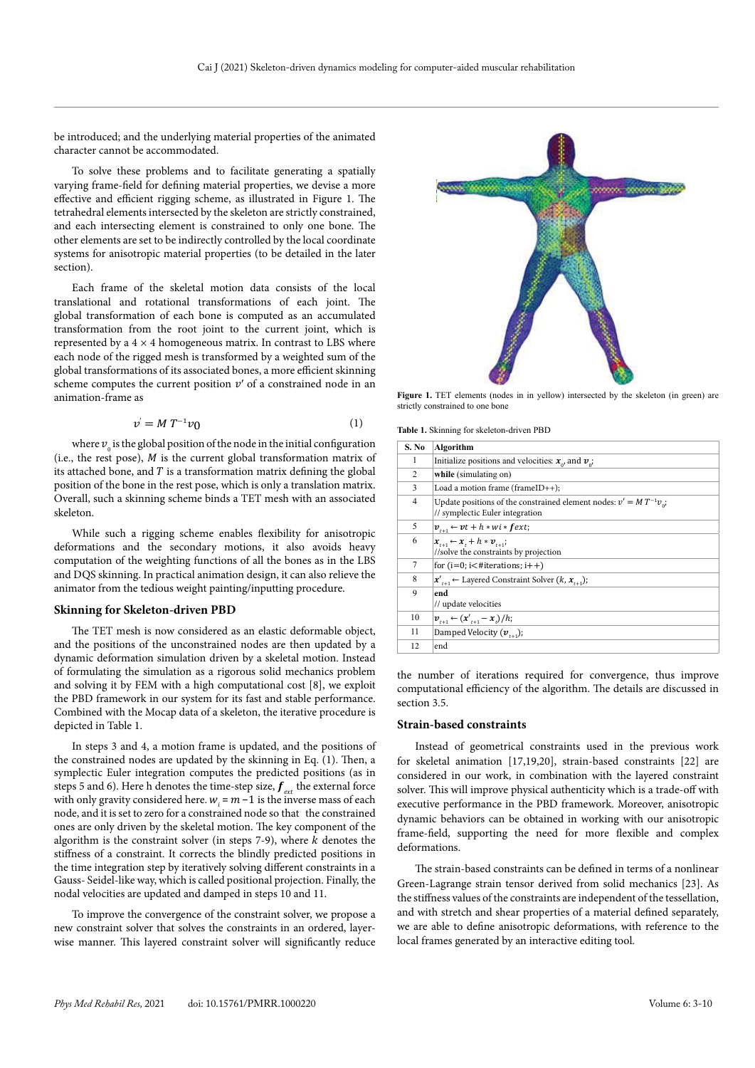be introduced; and the underlying material properties of the animated character cannot be accommodated.

To solve these problems and to facilitate generating a spatially varying frame-field for defining material properties, we devise a more effective and efficient rigging scheme, as illustrated in Figure 1. The tetrahedral elements intersected by the skeleton are strictly constrained, and each intersecting element is constrained to only one bone. The other elements are set to be indirectly controlled by the local coordinate systems for anisotropic material properties (to be detailed in the later section).

Each frame of the skeletal motion data consists of the local translational and rotational transformations of each joint. The global transformation of each bone is computed as an accumulated transformation from the root joint to the current joint, which is represented by a  $4 \times 4$  homogeneous matrix. In contrast to LBS where each node of the rigged mesh is transformed by a weighted sum of the global transformations of its associated bones, a more efficient skinning scheme computes the current position  $v'$  of a constrained node in an animation-frame as

$$
v' = M T^{-1} v_0 \tag{1}
$$

where  $v_{_0}$  is the global position of the node in the initial configuration (i.e., the rest pose),  $M$  is the current global transformation matrix of its attached bone, and  $T$  is a transformation matrix defining the global position of the bone in the rest pose, which is only a translation matrix. Overall, such a skinning scheme binds a TET mesh with an associated skeleton.

While such a rigging scheme enables flexibility for anisotropic deformations and the secondary motions, it also avoids heavy computation of the weighting functions of all the bones as in the LBS and DQS skinning. In practical animation design, it can also relieve the animator from the tedious weight painting/inputting procedure.

#### **Skinning for Skeleton-driven PBD**

The TET mesh is now considered as an elastic deformable object, and the positions of the unconstrained nodes are then updated by a dynamic deformation simulation driven by a skeletal motion. Instead of formulating the simulation as a rigorous solid mechanics problem and solving it by FEM with a high computational cost [8], we exploit the PBD framework in our system for its fast and stable performance. Combined with the Mocap data of a skeleton, the iterative procedure is depicted in Table 1.

In steps 3 and 4, a motion frame is updated, and the positions of the constrained nodes are updated by the skinning in Eq. (1). Then, a symplectic Euler integration computes the predicted positions (as in steps 5 and 6). Here h denotes the time-step size,  $f_{ext}$  the external force with only gravity considered here.  $w_i = m - 1$  is the inverse mass of each node, and it is set to zero for a constrained node so that the constrained ones are only driven by the skeletal motion. The key component of the algorithm is the constraint solver (in steps 7-9), where  $k$  denotes the stiffness of a constraint. It corrects the blindly predicted positions in the time integration step by iteratively solving different constraints in a Gauss- Seidel-like way, which is called positional projection. Finally, the nodal velocities are updated and damped in steps 10 and 11.

To improve the convergence of the constraint solver, we propose a new constraint solver that solves the constraints in an ordered, layerwise manner. This layered constraint solver will significantly reduce



Figure 1. TET elements (nodes in in yellow) intersected by the skeleton (in green) are strictly constrained to one bone

**Table 1.** Skinning for skeleton-driven PBD

| S. No | Algorithm                                                                                                     |
|-------|---------------------------------------------------------------------------------------------------------------|
| 1     | Initialize positions and velocities: $x_{\omega}$ and $v_{\omega}$ ;                                          |
| 2     | while (simulating on)                                                                                         |
| 3     | Load a motion frame (frameID++);                                                                              |
| 4     | Update positions of the constrained element nodes: $v' = M T^{-1} v_{o}$ ;<br>// symplectic Euler integration |
| 5     | $v_{i+1} \leftarrow vt + h * wi * \textbf{f} ext;$                                                            |
| 6     | $x_{i+1} \leftarrow x_i + h * v_{i+1}$<br>//solve the constraints by projection                               |
| 7     | for $(i=0; i \leq \# iterations; i++)$                                                                        |
| 8     | $x'_{t+1}$ $\leftarrow$ Layered Constraint Solver $(k, x_{t+1})$ ;                                            |
| 9     | end<br>// update velocities                                                                                   |
| 10    | $v_{t+1} \leftarrow (x'_{t+1} - x_t)/h;$                                                                      |
| 11    | Damped Velocity $(v_{n+1})$ ;                                                                                 |
| 12    | end                                                                                                           |

the number of iterations required for convergence, thus improve computational efficiency of the algorithm. The details are discussed in section 3.5.

#### **Strain-based constraints**

Instead of geometrical constraints used in the previous work for skeletal animation [17,19,20], strain-based constraints [22] are considered in our work, in combination with the layered constraint solver. This will improve physical authenticity which is a trade-off with executive performance in the PBD framework. Moreover, anisotropic dynamic behaviors can be obtained in working with our anisotropic frame-field, supporting the need for more flexible and complex deformations.

The strain-based constraints can be defined in terms of a nonlinear Green-Lagrange strain tensor derived from solid mechanics [23]. As the stiffness values of the constraints are independent of the tessellation, and with stretch and shear properties of a material defined separately, we are able to define anisotropic deformations, with reference to the local frames generated by an interactive editing tool.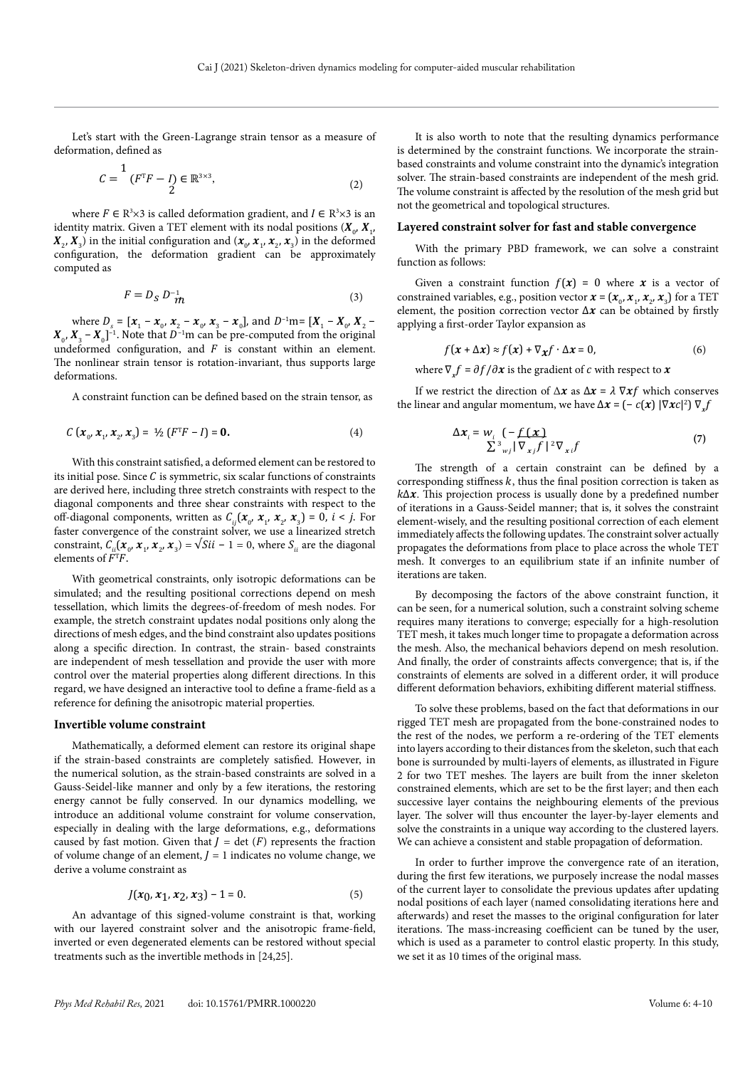Let's start with the Green-Lagrange strain tensor as a measure of deformation, defined as

$$
C = \frac{1}{2} (F^{T}F - I) \in \mathbb{R}^{3 \times 3},
$$
 (2)

where  $F \in \mathbb{R}^3 \times 3$  is called deformation gradient, and  $I \in \mathbb{R}^3 \times 3$  is an identity matrix. Given a TET element with its nodal positions  $(\mathbf{X}_0, \mathbf{X}_1)$  $\mathbf{X}_2$ ,  $\mathbf{X}_3$ ) in the initial configuration and  $(\mathbf{x}_0, \mathbf{x}_1, \mathbf{x}_2, \mathbf{x}_3)$  in the deformed configuration, the deformation gradient can be approximately computed as

$$
F = D_S D_{\mathcal{m}}^{-1} \tag{3}
$$

where  $D_s = [x_1 - x_0, x_2 - x_0, x_3 - x_0]$ , and  $D^{-1}m = [X_1 - X_0, X_2 - x_0]$  $X_{0}$ ,  $X_{3}$  –  $X_{0}$ ]<sup>-1</sup>. Note that  $D^{-1}$ m can be pre-computed from the original undeformed configuration, and  $F$  is constant within an element. The nonlinear strain tensor is rotation-invariant, thus supports large deformations.

A constraint function can be defined based on the strain tensor, as

$$
C\left(x_{0}, x_{1}, x_{2}, x_{3}\right) = \frac{1}{2}\left(F^{T}F - I\right) = \mathbf{0}.\tag{4}
$$

With this constraint satisfied, a deformed element can be restored to its initial pose. Since  $C$  is symmetric, six scalar functions of constraints are derived here, including three stretch constraints with respect to the diagonal components and three shear constraints with respect to the off-diagonal components, written as  $C_{ij}$  ( $\mathbf{x}_0$ ,  $\mathbf{x}_1$ ,  $\mathbf{x}_2$ ,  $\mathbf{x}_3$ ) = 0,  $i < j$ . For faster convergence of the constraint solver, we use a linearized stretch constraint,  $C_{ii}(\mathbf{x}_0, \mathbf{x}_1, \mathbf{x}_2, \mathbf{x}_3) = \sqrt{Si}i - 1 = 0$ , where  $S_{ii}$  are the diagonal elements of  $F^{T}F$ .

With geometrical constraints, only isotropic deformations can be simulated; and the resulting positional corrections depend on mesh tessellation, which limits the degrees-of-freedom of mesh nodes. For example, the stretch constraint updates nodal positions only along the directions of mesh edges, and the bind constraint also updates positions along a specific direction. In contrast, the strain- based constraints are independent of mesh tessellation and provide the user with more control over the material properties along different directions. In this regard, we have designed an interactive tool to define a frame-field as a reference for defining the anisotropic material properties.

#### **Invertible volume constraint**

Mathematically, a deformed element can restore its original shape if the strain-based constraints are completely satisfied. However, in the numerical solution, as the strain-based constraints are solved in a Gauss-Seidel-like manner and only by a few iterations, the restoring energy cannot be fully conserved. In our dynamics modelling, we introduce an additional volume constraint for volume conservation, especially in dealing with the large deformations, e.g., deformations caused by fast motion. Given that  $J = \det(F)$  represents the fraction of volume change of an element,  $J = 1$  indicates no volume change, we derive a volume constraint as

$$
J(x_0, x_1, x_2, x_3) - 1 = 0. \tag{5}
$$

An advantage of this signed-volume constraint is that, working with our layered constraint solver and the anisotropic frame-field, inverted or even degenerated elements can be restored without special treatments such as the invertible methods in [24,25].

It is also worth to note that the resulting dynamics performance is determined by the constraint functions. We incorporate the strainbased constraints and volume constraint into the dynamic's integration solver. The strain-based constraints are independent of the mesh grid. The volume constraint is affected by the resolution of the mesh grid but not the geometrical and topological structures.

#### **Layered constraint solver for fast and stable convergence**

With the primary PBD framework, we can solve a constraint function as follows:

Given a constraint function  $f(x) = 0$  where x is a vector of constrained variables, e.g., position vector  $\mathbf{x} = (\mathbf{x}_0, \mathbf{x}_1, \mathbf{x}_2, \mathbf{x}_3)$  for a TET element, the position correction vector  $\Delta x$  can be obtained by firstly applying a first-order Taylor expansion as

$$
f(x + \Delta x) \approx f(x) + \nabla_x f \cdot \Delta x = 0,
$$
\n(6)

where  $\nabla f = \partial f / \partial x$  is the gradient of *c* with respect to *x* 

If we restrict the direction of  $\Delta x$  as  $\Delta x = \lambda \nabla x f$  which conserves the linear and angular momentum, we have  $\Delta x = (-c(x) | \nabla x c|^2) \nabla_x f$ 

$$
\Delta x_i = w_i \left( -f(\mathbf{x}) \right)
$$
  

$$
\sum_{j=1}^{3} \frac{1}{|V_{xj}f|^2} \nabla_{xi} f
$$
 (7)

The strength of a certain constraint can be defined by a corresponding stiffness  $k$ , thus the final position correction is taken as  $k\Delta x$ . This projection process is usually done by a predefined number of iterations in a Gauss-Seidel manner; that is, it solves the constraint element-wisely, and the resulting positional correction of each element immediately affects the following updates. The constraint solver actually propagates the deformations from place to place across the whole TET mesh. It converges to an equilibrium state if an infinite number of iterations are taken.

By decomposing the factors of the above constraint function, it can be seen, for a numerical solution, such a constraint solving scheme requires many iterations to converge; especially for a high-resolution TET mesh, it takes much longer time to propagate a deformation across the mesh. Also, the mechanical behaviors depend on mesh resolution. And finally, the order of constraints affects convergence; that is, if the constraints of elements are solved in a different order, it will produce different deformation behaviors, exhibiting different material stiffness.

To solve these problems, based on the fact that deformations in our rigged TET mesh are propagated from the bone-constrained nodes to the rest of the nodes, we perform a re-ordering of the TET elements into layers according to their distances from the skeleton, such that each bone is surrounded by multi-layers of elements, as illustrated in Figure 2 for two TET meshes. The layers are built from the inner skeleton constrained elements, which are set to be the first layer; and then each successive layer contains the neighbouring elements of the previous layer. The solver will thus encounter the layer-by-layer elements and solve the constraints in a unique way according to the clustered layers. We can achieve a consistent and stable propagation of deformation.

In order to further improve the convergence rate of an iteration, during the first few iterations, we purposely increase the nodal masses of the current layer to consolidate the previous updates after updating nodal positions of each layer (named consolidating iterations here and afterwards) and reset the masses to the original configuration for later iterations. The mass-increasing coefficient can be tuned by the user, which is used as a parameter to control elastic property. In this study, we set it as 10 times of the original mass.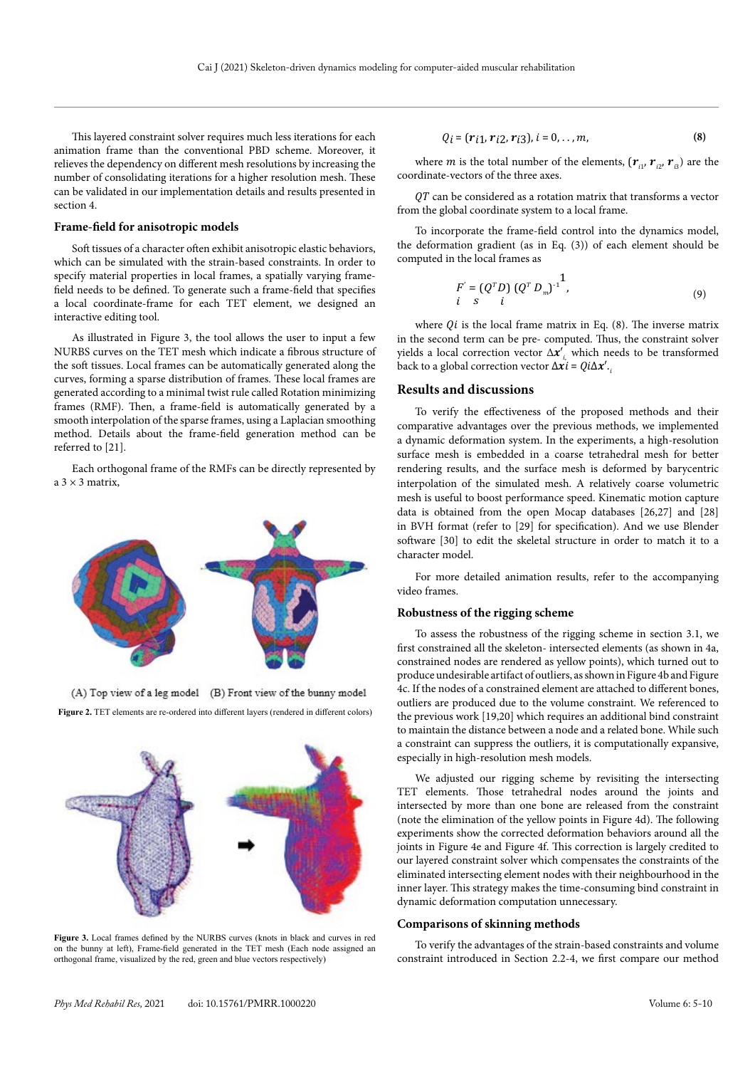This layered constraint solver requires much less iterations for each animation frame than the conventional PBD scheme. Moreover, it relieves the dependency on different mesh resolutions by increasing the number of consolidating iterations for a higher resolution mesh. These can be validated in our implementation details and results presented in section 4.

#### **Frame-field for anisotropic models**

Soft tissues of a character often exhibit anisotropic elastic behaviors, which can be simulated with the strain-based constraints. In order to specify material properties in local frames, a spatially varying framefield needs to be defined. To generate such a frame-field that specifies a local coordinate-frame for each TET element, we designed an interactive editing tool.

As illustrated in Figure 3, the tool allows the user to input a few NURBS curves on the TET mesh which indicate a fibrous structure of the soft tissues. Local frames can be automatically generated along the curves, forming a sparse distribution of frames. These local frames are generated according to a minimal twist rule called Rotation minimizing frames (RMF). Then, a frame-field is automatically generated by a smooth interpolation of the sparse frames, using a Laplacian smoothing method. Details about the frame-field generation method can be referred to [21].

Each orthogonal frame of the RMFs can be directly represented by  $a \times 3$  matrix



(A) Top view of a leg model (B) Front view of the bunny model **Figure 2.** TET elements are re-ordered into different layers (rendered in different colors)



**Figure 3.** Local frames defined by the NURBS curves (knots in black and curves in red on the bunny at left), Frame-field generated in the TET mesh (Each node assigned an orthogonal frame, visualized by the red, green and blue vectors respectively)

$$
Q_i = (r_{i1}, r_{i2}, r_{i3}), i = 0, ..., m,
$$
 (8)

where *m* is the total number of the elements,  $(\mathbf{r}_{i1}, \mathbf{r}_{i2}, \mathbf{r}_{i3})$  are the coordinate-vectors of the three axes.

 $QT$  can be considered as a rotation matrix that transforms a vector from the global coordinate system to a local frame.

To incorporate the frame-field control into the dynamics model, the deformation gradient (as in Eq. (3)) of each element should be computed in the local frames as

$$
F' = (Q^T D) (Q^T D_m)^{-1},
$$
  
\n*i* s *i* (9)

where  $Qi$  is the local frame matrix in Eq. (8). The inverse matrix in the second term can be pre- computed. Thus, the constraint solver yields a local correction vector  $\Delta x'$ , which needs to be transformed back to a global correction vector  $\Delta x$ *i* =  $Qi\Delta x'$ .

#### **Results and discussions**

To verify the effectiveness of the proposed methods and their comparative advantages over the previous methods, we implemented a dynamic deformation system. In the experiments, a high-resolution surface mesh is embedded in a coarse tetrahedral mesh for better rendering results, and the surface mesh is deformed by barycentric interpolation of the simulated mesh. A relatively coarse volumetric mesh is useful to boost performance speed. Kinematic motion capture data is obtained from the open Mocap databases [26,27] and [28] in BVH format (refer to [29] for specification). And we use Blender software [30] to edit the skeletal structure in order to match it to a character model.

For more detailed animation results, refer to the accompanying video frames.

#### **Robustness of the rigging scheme**

To assess the robustness of the rigging scheme in section 3.1, we first constrained all the skeleton- intersected elements (as shown in 4a, constrained nodes are rendered as yellow points), which turned out to produce undesirable artifact of outliers, as shown in Figure 4b and Figure 4c. If the nodes of a constrained element are attached to different bones, outliers are produced due to the volume constraint. We referenced to the previous work [19,20] which requires an additional bind constraint to maintain the distance between a node and a related bone. While such a constraint can suppress the outliers, it is computationally expansive, especially in high-resolution mesh models.

We adjusted our rigging scheme by revisiting the intersecting TET elements. Those tetrahedral nodes around the joints and intersected by more than one bone are released from the constraint (note the elimination of the yellow points in Figure 4d). The following experiments show the corrected deformation behaviors around all the joints in Figure 4e and Figure 4f. This correction is largely credited to our layered constraint solver which compensates the constraints of the eliminated intersecting element nodes with their neighbourhood in the inner layer. This strategy makes the time-consuming bind constraint in dynamic deformation computation unnecessary.

#### **Comparisons of skinning methods**

To verify the advantages of the strain-based constraints and volume constraint introduced in Section 2.2-4, we first compare our method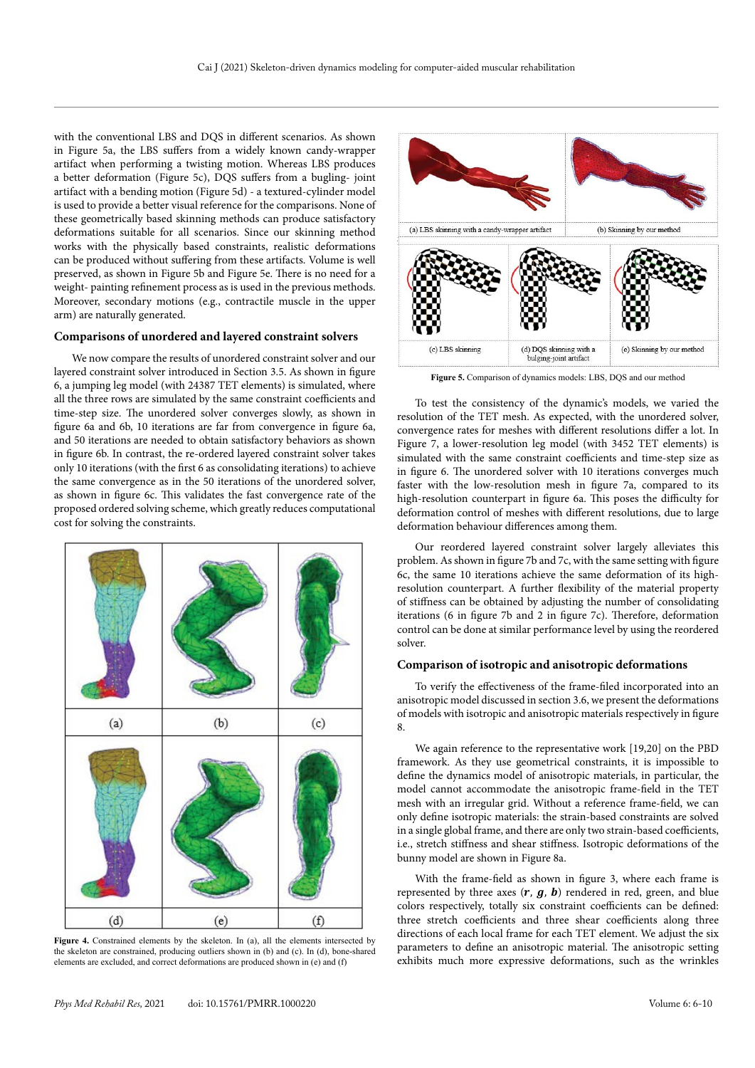with the conventional LBS and DQS in different scenarios. As shown in Figure 5a, the LBS suffers from a widely known candy-wrapper artifact when performing a twisting motion. Whereas LBS produces a better deformation (Figure 5c), DQS suffers from a bugling- joint artifact with a bending motion (Figure 5d) - a textured-cylinder model is used to provide a better visual reference for the comparisons. None of these geometrically based skinning methods can produce satisfactory deformations suitable for all scenarios. Since our skinning method works with the physically based constraints, realistic deformations can be produced without suffering from these artifacts. Volume is well preserved, as shown in Figure 5b and Figure 5e. There is no need for a weight- painting refinement process as is used in the previous methods. Moreover, secondary motions (e.g., contractile muscle in the upper arm) are naturally generated.

#### **Comparisons of unordered and layered constraint solvers**

We now compare the results of unordered constraint solver and our layered constraint solver introduced in Section 3.5. As shown in figure 6, a jumping leg model (with 24387 TET elements) is simulated, where all the three rows are simulated by the same constraint coefficients and time-step size. The unordered solver converges slowly, as shown in figure 6a and 6b, 10 iterations are far from convergence in figure 6a, and 50 iterations are needed to obtain satisfactory behaviors as shown in figure 6b. In contrast, the re-ordered layered constraint solver takes only 10 iterations (with the first 6 as consolidating iterations) to achieve the same convergence as in the 50 iterations of the unordered solver, as shown in figure 6c. This validates the fast convergence rate of the proposed ordered solving scheme, which greatly reduces computational cost for solving the constraints.



**Figure 4.** Constrained elements by the skeleton. In (a), all the elements intersected by the skeleton are constrained, producing outliers shown in (b) and (c). In (d), bone-shared elements are excluded, and correct deformations are produced shown in (e) and (f)



**Figure 5.** Comparison of dynamics models: LBS, DQS and our method

To test the consistency of the dynamic's models, we varied the resolution of the TET mesh. As expected, with the unordered solver, convergence rates for meshes with different resolutions differ a lot. In Figure 7, a lower-resolution leg model (with 3452 TET elements) is simulated with the same constraint coefficients and time-step size as in figure 6. The unordered solver with 10 iterations converges much faster with the low-resolution mesh in figure 7a, compared to its high-resolution counterpart in figure 6a. This poses the difficulty for deformation control of meshes with different resolutions, due to large deformation behaviour differences among them.

Our reordered layered constraint solver largely alleviates this problem. As shown in figure 7b and 7c, with the same setting with figure 6c, the same 10 iterations achieve the same deformation of its highresolution counterpart. A further flexibility of the material property of stiffness can be obtained by adjusting the number of consolidating iterations (6 in figure 7b and 2 in figure 7c). Therefore, deformation control can be done at similar performance level by using the reordered solver.

#### **Comparison of isotropic and anisotropic deformations**

To verify the effectiveness of the frame-filed incorporated into an anisotropic model discussed in section 3.6, we present the deformations of models with isotropic and anisotropic materials respectively in figure 8.

We again reference to the representative work [19,20] on the PBD framework. As they use geometrical constraints, it is impossible to define the dynamics model of anisotropic materials, in particular, the model cannot accommodate the anisotropic frame-field in the TET mesh with an irregular grid. Without a reference frame-field, we can only define isotropic materials: the strain-based constraints are solved in a single global frame, and there are only two strain-based coefficients, i.e., stretch stiffness and shear stiffness. Isotropic deformations of the bunny model are shown in Figure 8a.

With the frame-field as shown in figure 3, where each frame is represented by three axes  $(r, g, b)$  rendered in red, green, and blue colors respectively, totally six constraint coefficients can be defined: three stretch coefficients and three shear coefficients along three directions of each local frame for each TET element. We adjust the six parameters to define an anisotropic material. The anisotropic setting exhibits much more expressive deformations, such as the wrinkles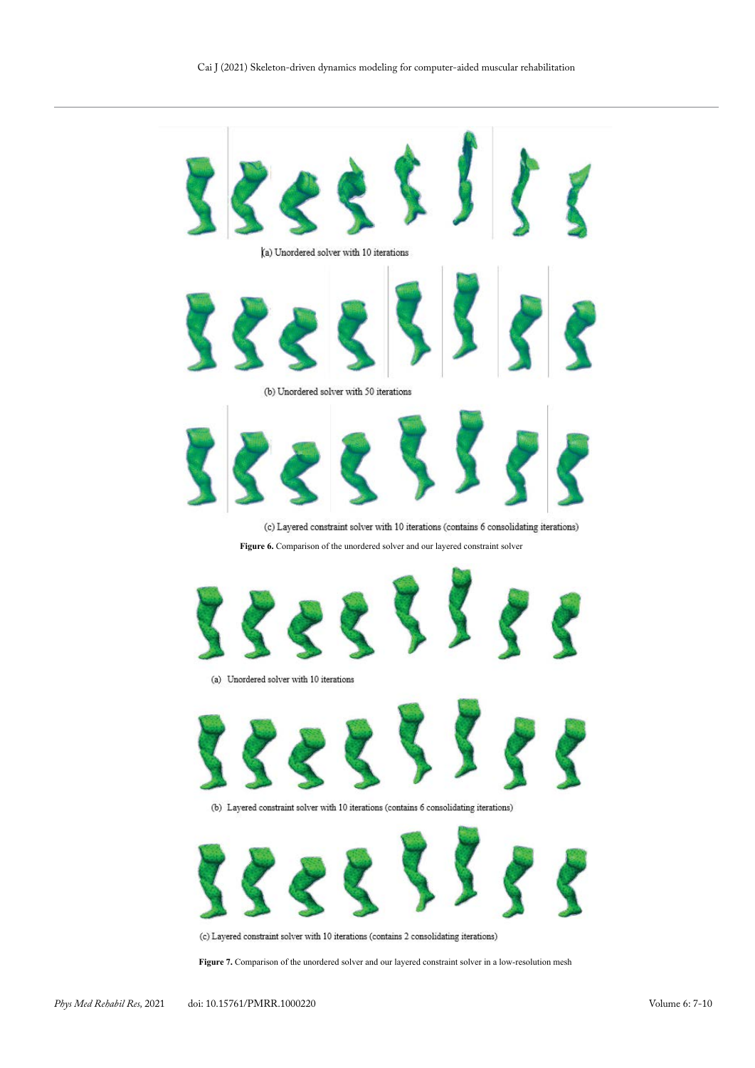

**Figure 6.** Comparison of the unordered solver and our layered constraint solver





(b) Layered constraint solver with 10 iterations (contains 6 consolidating iterations)



(c) Layered constraint solver with 10 iterations (contains 2 consolidating iterations)

**Figure 7.** Comparison of the unordered solver and our layered constraint solver in a low-resolution mesh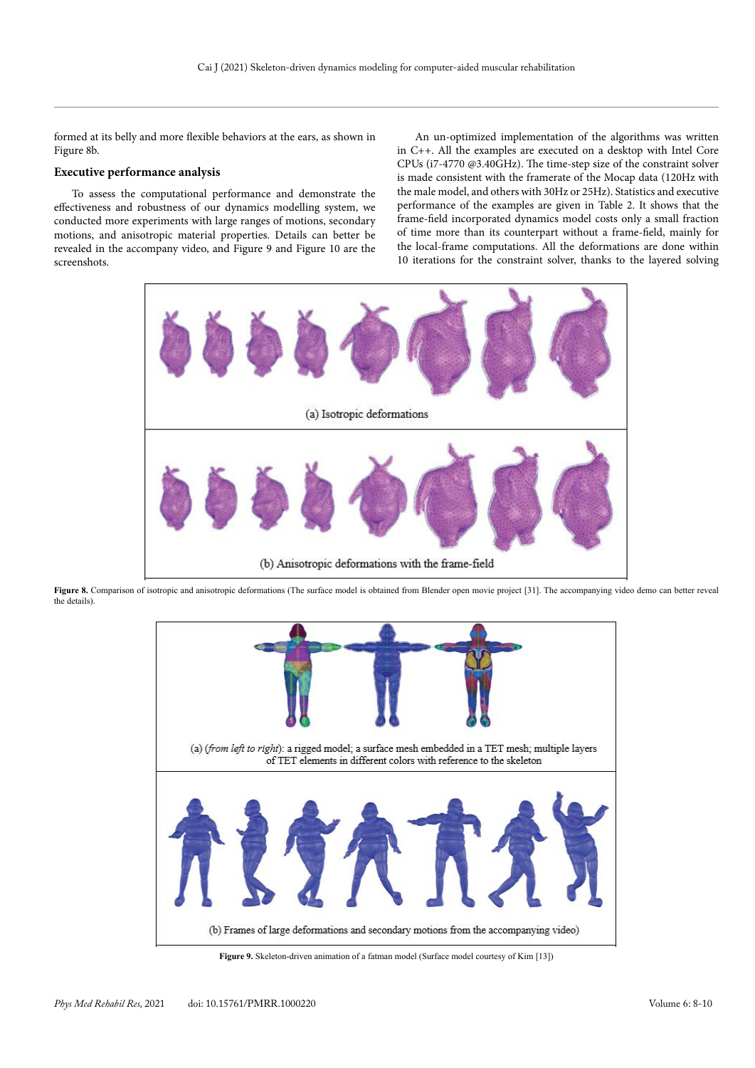formed at its belly and more flexible behaviors at the ears, as shown in Figure 8b.

## **Executive performance analysis**

To assess the computational performance and demonstrate the effectiveness and robustness of our dynamics modelling system, we conducted more experiments with large ranges of motions, secondary motions, and anisotropic material properties. Details can better be revealed in the accompany video, and Figure 9 and Figure 10 are the screenshots.

An un-optimized implementation of the algorithms was written in C++. All the examples are executed on a desktop with Intel Core CPUs (i7-4770 @3.40GHz). The time-step size of the constraint solver is made consistent with the framerate of the Mocap data (120Hz with the male model, and others with 30Hz or 25Hz). Statistics and executive performance of the examples are given in Table 2. It shows that the frame-field incorporated dynamics model costs only a small fraction of time more than its counterpart without a frame-field, mainly for the local-frame computations. All the deformations are done within 10 iterations for the constraint solver, thanks to the layered solving



**Figure 8.** Comparison of isotropic and anisotropic deformations (The surface model is obtained from Blender open movie project [31]. The accompanying video demo can better reveal the details).



**Figure 9.** Skeleton-driven animation of a fatman model (Surface model courtesy of Kim [13])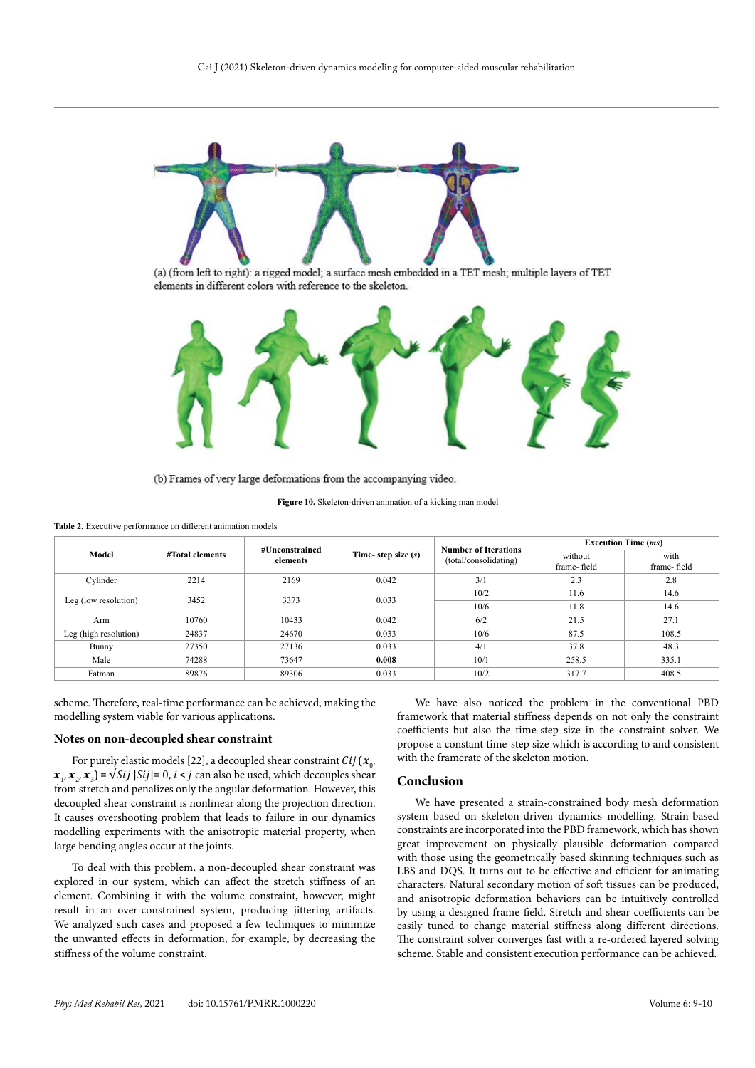

(a) (from left to right): a rigged model; a surface mesh embedded in a TET mesh; multiple layers of TET elements in different colors with reference to the skeleton.



(b) Frames of very large deformations from the accompanying video.

**Figure 10.** Skeleton-driven animation of a kicking man model

**Table 2.** Executive performance on different animation models

|                       | #Total elements | #Unconstrained<br>elements | Time-step size (s) | <b>Number of Iterations</b><br>(total/consolidating) | <b>Execution Time (ms)</b> |                     |
|-----------------------|-----------------|----------------------------|--------------------|------------------------------------------------------|----------------------------|---------------------|
| Model                 |                 |                            |                    |                                                      | without<br>frame-field     | with<br>frame-field |
| Cylinder              | 2214            | 2169                       | 0.042              | 3/1                                                  | 2.3                        | 2.8                 |
|                       | 3452            | 3373                       | 0.033              | 10/2                                                 | 11.6                       | 14.6                |
| Leg (low resolution)  |                 |                            |                    | 10/6                                                 | 11.8                       | 14.6                |
| Arm                   | 10760           | 10433                      | 0.042              | 6/2                                                  | 21.5                       | 27.1                |
| Leg (high resolution) | 24837           | 24670                      | 0.033              | 10/6                                                 | 87.5                       | 108.5               |
| Bunny                 | 27350           | 27136                      | 0.033              | 4/1                                                  | 37.8                       | 48.3                |
| Male                  | 74288           | 73647                      | 0.008              | 10/1                                                 | 258.5                      | 335.1               |
| Fatman                | 89876           | 89306                      | 0.033              | 10/2                                                 | 317.7                      | 408.5               |

scheme. Therefore, real-time performance can be achieved, making the modelling system viable for various applications.

#### **Notes on non-decoupled shear constraint**

For purely elastic models [22], a decoupled shear constraint  $Cij$  ( $\mathbf{x}_{0}$ ,  $\mathbf{x}_1, \mathbf{x}_2, \mathbf{x}_3$  =  $\sqrt{Sij}$  |Sij|= 0, i < j can also be used, which decouples shear from stretch and penalizes only the angular deformation. However, this decoupled shear constraint is nonlinear along the projection direction. It causes overshooting problem that leads to failure in our dynamics modelling experiments with the anisotropic material property, when large bending angles occur at the joints.

To deal with this problem, a non-decoupled shear constraint was explored in our system, which can affect the stretch stiffness of an element. Combining it with the volume constraint, however, might result in an over-constrained system, producing jittering artifacts. We analyzed such cases and proposed a few techniques to minimize the unwanted effects in deformation, for example, by decreasing the stiffness of the volume constraint.

We have also noticed the problem in the conventional PBD framework that material stiffness depends on not only the constraint coefficients but also the time-step size in the constraint solver. We propose a constant time-step size which is according to and consistent with the framerate of the skeleton motion.

## **Conclusion**

We have presented a strain-constrained body mesh deformation system based on skeleton-driven dynamics modelling. Strain-based constraints are incorporated into the PBD framework, which has shown great improvement on physically plausible deformation compared with those using the geometrically based skinning techniques such as LBS and DQS. It turns out to be effective and efficient for animating characters. Natural secondary motion of soft tissues can be produced, and anisotropic deformation behaviors can be intuitively controlled by using a designed frame-field. Stretch and shear coefficients can be easily tuned to change material stiffness along different directions. The constraint solver converges fast with a re-ordered layered solving scheme. Stable and consistent execution performance can be achieved.